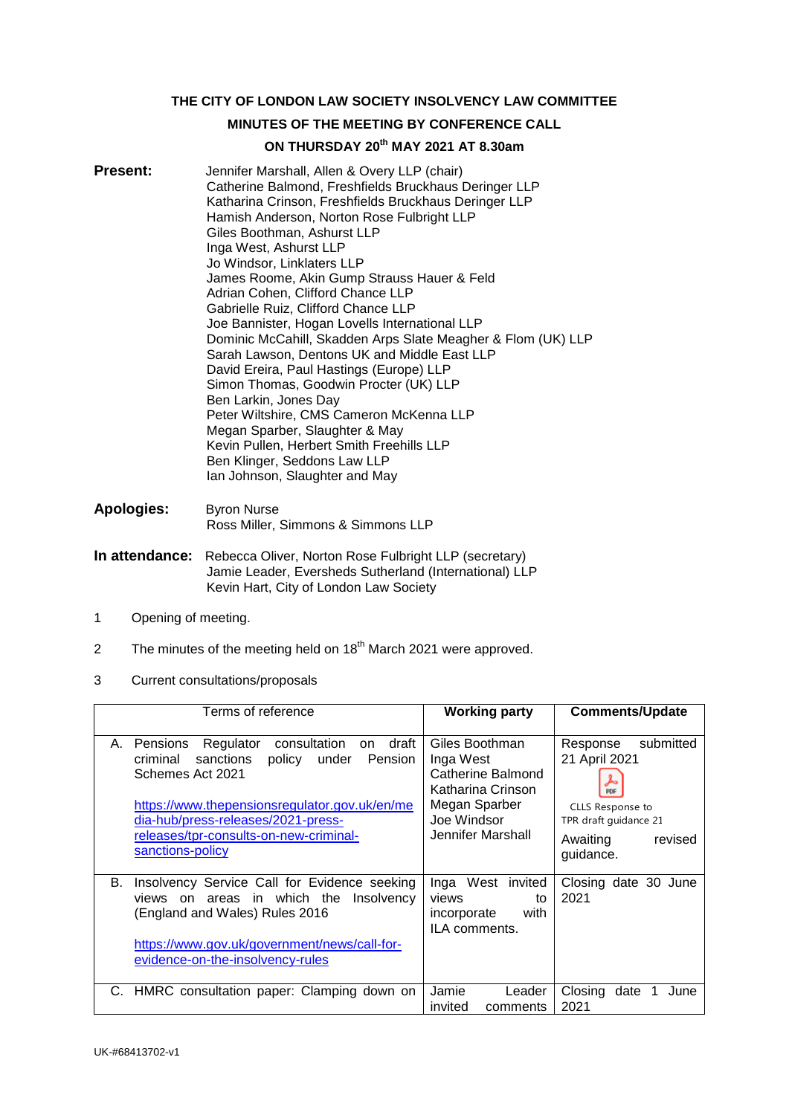**THE CITY OF LONDON LAW SOCIETY INSOLVENCY LAW COMMITTEE**

# **MINUTES OF THE MEETING BY CONFERENCE CALL**

# **ON THURSDAY 20th MAY 2021 AT 8.30am**

- **Present:** Jennifer Marshall, Allen & Overy LLP (chair) Catherine Balmond, Freshfields Bruckhaus Deringer LLP Katharina Crinson, Freshfields Bruckhaus Deringer LLP Hamish Anderson, Norton Rose Fulbright LLP Giles Boothman, Ashurst LLP Inga West, Ashurst LLP Jo Windsor, Linklaters LLP James Roome, Akin Gump Strauss Hauer & Feld Adrian Cohen, Clifford Chance LLP Gabrielle Ruiz, Clifford Chance LLP Joe Bannister, Hogan Lovells International LLP Dominic McCahill, Skadden Arps Slate Meagher & Flom (UK) LLP Sarah Lawson, Dentons UK and Middle East LLP David Ereira, Paul Hastings (Europe) LLP Simon Thomas, Goodwin Procter (UK) LLP Ben Larkin, Jones Day Peter Wiltshire, CMS Cameron McKenna LLP Megan Sparber, Slaughter & May Kevin Pullen, Herbert Smith Freehills LLP Ben Klinger, Seddons Law LLP Ian Johnson, Slaughter and May
- **Apologies:** Byron Nurse Ross Miller, Simmons & Simmons LLP
- **In attendance:** Rebecca Oliver, Norton Rose Fulbright LLP (secretary) Jamie Leader, Eversheds Sutherland (International) LLP Kevin Hart, City of London Law Society
- 1 Opening of meeting.
- 2 The minutes of the meeting held on  $18<sup>th</sup>$  March 2021 were approved.
- 3 Current consultations/proposals

| Terms of reference                                                                                                                                                                                                                                                                                | <b>Working party</b>                                                                                                       | <b>Comments/Update</b>                                                                                                         |
|---------------------------------------------------------------------------------------------------------------------------------------------------------------------------------------------------------------------------------------------------------------------------------------------------|----------------------------------------------------------------------------------------------------------------------------|--------------------------------------------------------------------------------------------------------------------------------|
| Regulator<br>consultation<br>draft<br>Pensions<br>А.<br>on<br>sanctions<br>criminal<br>policy<br>under<br><b>Pension</b><br>Schemes Act 2021<br>https://www.thepensionsregulator.gov.uk/en/me<br>dia-hub/press-releases/2021-press-<br>releases/tpr-consults-on-new-criminal-<br>sanctions-policy | Giles Boothman<br>Inga West<br>Catherine Balmond<br>Katharina Crinson<br>Megan Sparber<br>Joe Windsor<br>Jennifer Marshall | submitted<br>Response<br>21 April 2021<br>PDF<br>CLLS Response to<br>TPR draft guidance 21<br>Awaiting<br>revised<br>guidance. |
| В.<br>Insolvency Service Call for Evidence seeking<br>views on areas in which the<br>Insolvency<br>(England and Wales) Rules 2016<br>https://www.gov.uk/government/news/call-for-<br>evidence-on-the-insolvency-rules                                                                             | Inga West invited<br>views<br>to<br>with<br>incorporate<br>ILA comments.                                                   | Closing date 30 June<br>2021                                                                                                   |
| HMRC consultation paper: Clamping down on                                                                                                                                                                                                                                                         | Jamie<br>Leader<br>invited<br>comments                                                                                     | date<br>Closing<br>June<br>2021                                                                                                |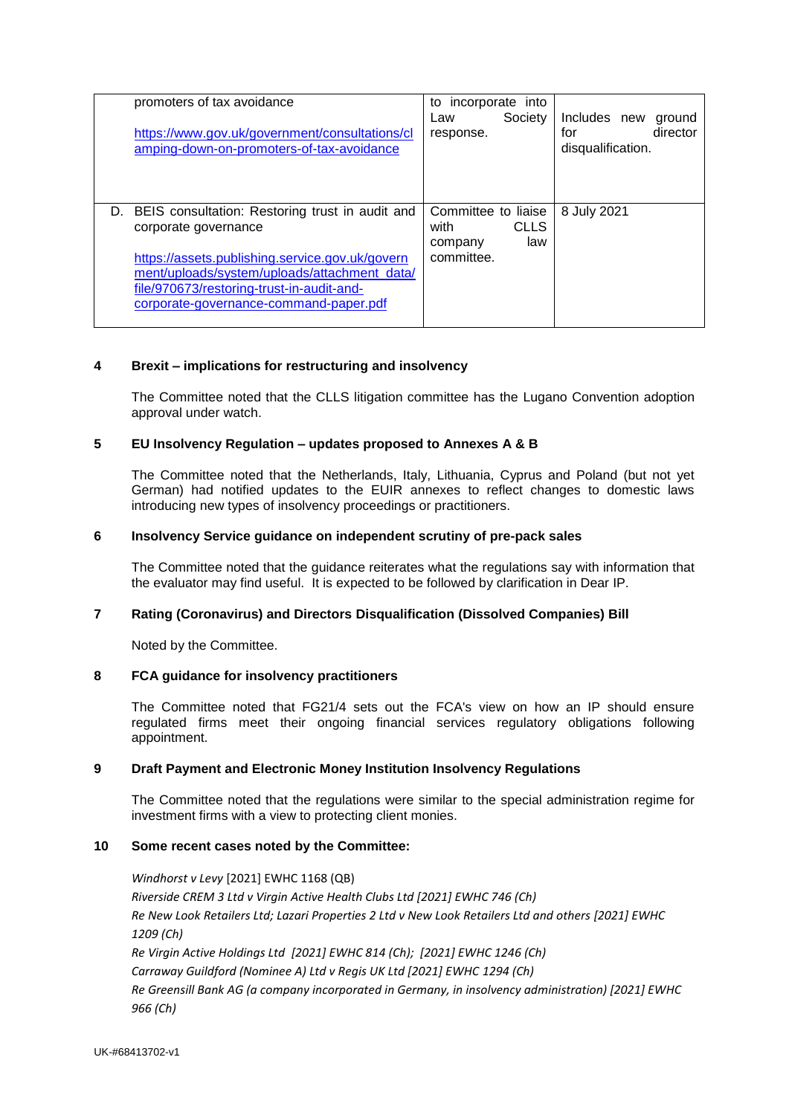| promoters of tax avoidance<br>https://www.gov.uk/government/consultations/cl<br>amping-down-on-promoters-of-tax-avoidance                                                                                                                                               | incorporate into<br>to<br>Society<br>Law<br>response.                      | Includes new<br>ground<br>director<br>for<br>disqualification. |
|-------------------------------------------------------------------------------------------------------------------------------------------------------------------------------------------------------------------------------------------------------------------------|----------------------------------------------------------------------------|----------------------------------------------------------------|
| BEIS consultation: Restoring trust in audit and<br>D.<br>corporate governance<br>https://assets.publishing.service.gov.uk/govern<br>ment/uploads/system/uploads/attachment_data/<br>file/970673/restoring-trust-in-audit-and-<br>corporate-governance-command-paper.pdf | Committee to liaise<br><b>CLLS</b><br>with<br>law<br>company<br>committee. | 8 July 2021                                                    |

### **4 Brexit – implications for restructuring and insolvency**

The Committee noted that the CLLS litigation committee has the Lugano Convention adoption approval under watch.

#### **5 EU Insolvency Regulation – updates proposed to Annexes A & B**

The Committee noted that the Netherlands, Italy, Lithuania, Cyprus and Poland (but not yet German) had notified updates to the EUIR annexes to reflect changes to domestic laws introducing new types of insolvency proceedings or practitioners.

### **6 Insolvency Service guidance on independent scrutiny of pre-pack sales**

The Committee noted that the guidance reiterates what the regulations say with information that the evaluator may find useful. It is expected to be followed by clarification in Dear IP.

## **7 Rating (Coronavirus) and Directors Disqualification (Dissolved Companies) Bill**

Noted by the Committee.

#### **8 FCA guidance for insolvency practitioners**

The Committee noted that FG21/4 sets out the FCA's view on how an IP should ensure regulated firms meet their ongoing financial services regulatory obligations following appointment.

## **9 Draft Payment and Electronic Money Institution Insolvency Regulations**

The Committee noted that the regulations were similar to the special administration regime for investment firms with a view to protecting client monies.

#### **10 Some recent cases noted by the Committee:**

*Windhorst v Levy* [2021] EWHC 1168 (QB) *Riverside CREM 3 Ltd v Virgin Active Health Clubs Ltd [2021] EWHC 746 (Ch) Re New Look Retailers Ltd; Lazari Properties 2 Ltd v New Look Retailers Ltd and others [2021] EWHC 1209 (Ch) Re Virgin Active Holdings Ltd [2021] EWHC 814 (Ch); [2021] EWHC 1246 (Ch) Carraway Guildford (Nominee A) Ltd v Regis UK Ltd [2021] EWHC 1294 (Ch) Re Greensill Bank AG (a company incorporated in Germany, in insolvency administration) [2021] EWHC 966 (Ch)*